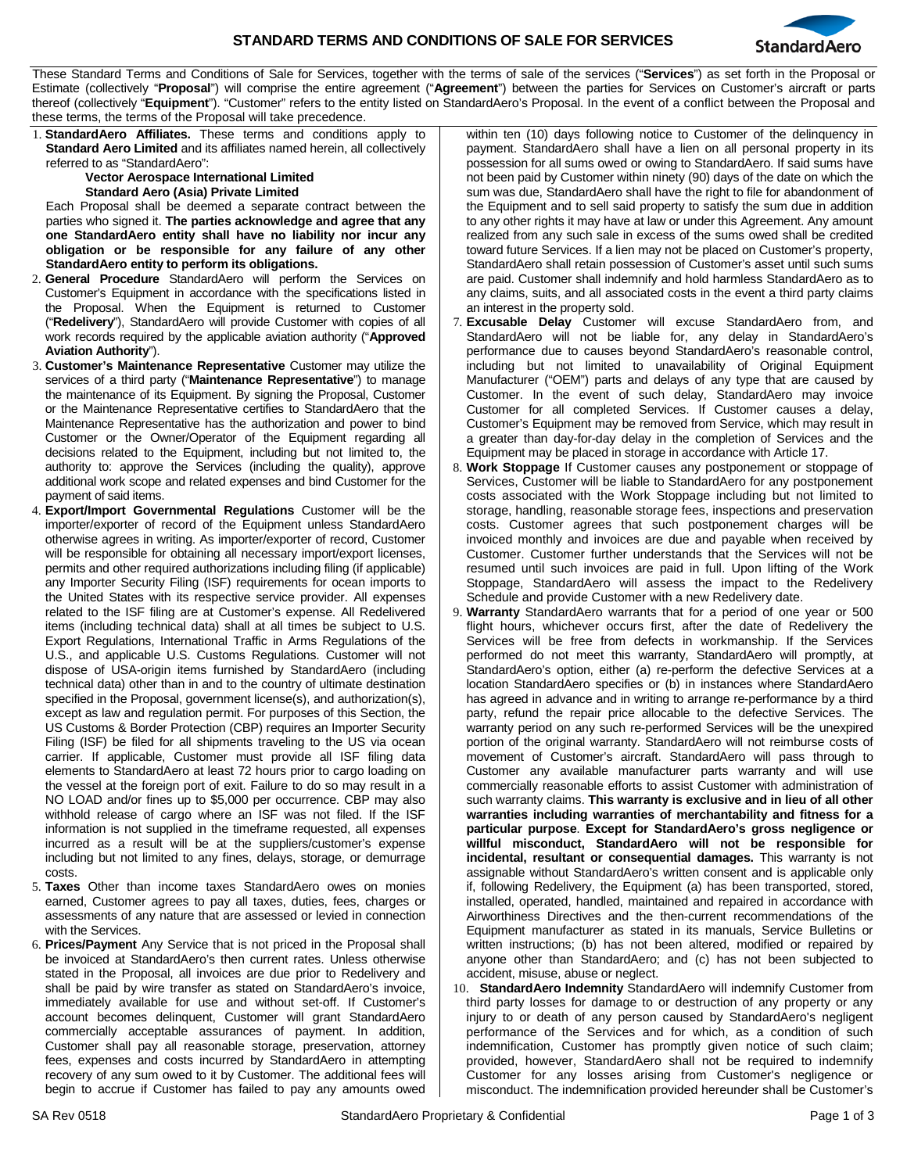

These Standard Terms and Conditions of Sale for Services, together with the terms of sale of the services ("**Services**") as set forth in the Proposal or Estimate (collectively "**Proposal**") will comprise the entire agreement ("**Agreement**") between the parties for Services on Customer's aircraft or parts thereof (collectively "**Equipment**"). "Customer" refers to the entity listed on StandardAero's Proposal. In the event of a conflict between the Proposal and these terms, the terms of the Proposal will take precedence.

1. **StandardAero Affiliates.** These terms and conditions apply to **Standard Aero Limited** and its affiliates named herein, all collectively referred to as "StandardAero":

## **Vector Aerospace International Limited Standard Aero (Asia) Private Limited**

Each Proposal shall be deemed a separate contract between the parties who signed it. **The parties acknowledge and agree that any one StandardAero entity shall have no liability nor incur any obligation or be responsible for any failure of any other StandardAero entity to perform its obligations.**

- 2. **General Procedure** StandardAero will perform the Services on Customer's Equipment in accordance with the specifications listed in the Proposal. When the Equipment is returned to Customer ("**Redelivery**"), StandardAero will provide Customer with copies of all work records required by the applicable aviation authority ("**Approved Aviation Authority**").
- 3. **Customer's Maintenance Representative** Customer may utilize the services of a third party ("**Maintenance Representative**") to manage the maintenance of its Equipment. By signing the Proposal, Customer or the Maintenance Representative certifies to StandardAero that the Maintenance Representative has the authorization and power to bind Customer or the Owner/Operator of the Equipment regarding all decisions related to the Equipment, including but not limited to, the authority to: approve the Services (including the quality), approve additional work scope and related expenses and bind Customer for the payment of said items.
- 4. **Export/Import Governmental Regulations** Customer will be the importer/exporter of record of the Equipment unless StandardAero otherwise agrees in writing. As importer/exporter of record, Customer will be responsible for obtaining all necessary import/export licenses, permits and other required authorizations including filing (if applicable) any Importer Security Filing (ISF) requirements for ocean imports to the United States with its respective service provider. All expenses related to the ISF filing are at Customer's expense. All Redelivered items (including technical data) shall at all times be subject to U.S. Export Regulations, International Traffic in Arms Regulations of the U.S., and applicable U.S. Customs Regulations. Customer will not dispose of USA-origin items furnished by StandardAero (including technical data) other than in and to the country of ultimate destination specified in the Proposal, government license(s), and authorization(s), except as law and regulation permit. For purposes of this Section, the US Customs & Border Protection (CBP) requires an Importer Security Filing (ISF) be filed for all shipments traveling to the US via ocean carrier. If applicable, Customer must provide all ISF filing data elements to StandardAero at least 72 hours prior to cargo loading on the vessel at the foreign port of exit. Failure to do so may result in a NO LOAD and/or fines up to \$5,000 per occurrence. CBP may also withhold release of cargo where an ISF was not filed. If the ISF information is not supplied in the timeframe requested, all expenses incurred as a result will be at the suppliers/customer's expense including but not limited to any fines, delays, storage, or demurrage costs.
- 5. **Taxes** Other than income taxes StandardAero owes on monies earned, Customer agrees to pay all taxes, duties, fees, charges or assessments of any nature that are assessed or levied in connection with the Services.
- 6. **Prices/Payment** Any Service that is not priced in the Proposal shall be invoiced at StandardAero's then current rates. Unless otherwise stated in the Proposal, all invoices are due prior to Redelivery and shall be paid by wire transfer as stated on StandardAero's invoice, immediately available for use and without set-off. If Customer's account becomes delinquent, Customer will grant StandardAero commercially acceptable assurances of payment. In addition, Customer shall pay all reasonable storage, preservation, attorney fees, expenses and costs incurred by StandardAero in attempting recovery of any sum owed to it by Customer. The additional fees will begin to accrue if Customer has failed to pay any amounts owed

within ten (10) days following notice to Customer of the delinquency in payment. StandardAero shall have a lien on all personal property in its possession for all sums owed or owing to StandardAero. If said sums have not been paid by Customer within ninety (90) days of the date on which the sum was due, StandardAero shall have the right to file for abandonment of the Equipment and to sell said property to satisfy the sum due in addition to any other rights it may have at law or under this Agreement. Any amount realized from any such sale in excess of the sums owed shall be credited toward future Services. If a lien may not be placed on Customer's property, StandardAero shall retain possession of Customer's asset until such sums are paid. Customer shall indemnify and hold harmless StandardAero as to any claims, suits, and all associated costs in the event a third party claims an interest in the property sold.

- 7. **Excusable Delay** Customer will excuse StandardAero from, and StandardAero will not be liable for, any delay in StandardAero's performance due to causes beyond StandardAero's reasonable control, including but not limited to unavailability of Original Equipment Manufacturer ("OEM") parts and delays of any type that are caused by Customer. In the event of such delay, StandardAero may invoice Customer for all completed Services. If Customer causes a delay, Customer's Equipment may be removed from Service, which may result in a greater than day-for-day delay in the completion of Services and the Equipment may be placed in storage in accordance with Article 17.
- Work Stoppage If Customer causes any postponement or stoppage of Services, Customer will be liable to StandardAero for any postponement costs associated with the Work Stoppage including but not limited to storage, handling, reasonable storage fees, inspections and preservation costs. Customer agrees that such postponement charges will be invoiced monthly and invoices are due and payable when received by Customer. Customer further understands that the Services will not be resumed until such invoices are paid in full. Upon lifting of the Work Stoppage, StandardAero will assess the impact to the Redelivery Schedule and provide Customer with a new Redelivery date.
- 9. **Warranty** StandardAero warrants that for a period of one year or 500 flight hours, whichever occurs first, after the date of Redelivery the Services will be free from defects in workmanship. If the Services performed do not meet this warranty, StandardAero will promptly, at StandardAero's option, either (a) re-perform the defective Services at a location StandardAero specifies or (b) in instances where StandardAero has agreed in advance and in writing to arrange re-performance by a third party, refund the repair price allocable to the defective Services. The warranty period on any such re-performed Services will be the unexpired portion of the original warranty. StandardAero will not reimburse costs of movement of Customer's aircraft. StandardAero will pass through to Customer any available manufacturer parts warranty and will use commercially reasonable efforts to assist Customer with administration of such warranty claims. **This warranty is exclusive and in lieu of all other warranties including warranties of merchantability and fitness for a particular purpose**. **Except for StandardAero's gross negligence or willful misconduct, StandardAero will not be responsible for incidental, resultant or consequential damages.** This warranty is not assignable without StandardAero's written consent and is applicable only if, following Redelivery, the Equipment (a) has been transported, stored, installed, operated, handled, maintained and repaired in accordance with Airworthiness Directives and the then-current recommendations of the Equipment manufacturer as stated in its manuals, Service Bulletins or written instructions; (b) has not been altered, modified or repaired by anyone other than StandardAero; and (c) has not been subjected to accident, misuse, abuse or neglect.
- 10. **StandardAero Indemnity** StandardAero will indemnify Customer from third party losses for damage to or destruction of any property or any injury to or death of any person caused by StandardAero's negligent performance of the Services and for which, as a condition of such indemnification, Customer has promptly given notice of such claim; provided, however, StandardAero shall not be required to indemnify Customer for any losses arising from Customer's negligence or misconduct. The indemnification provided hereunder shall be Customer's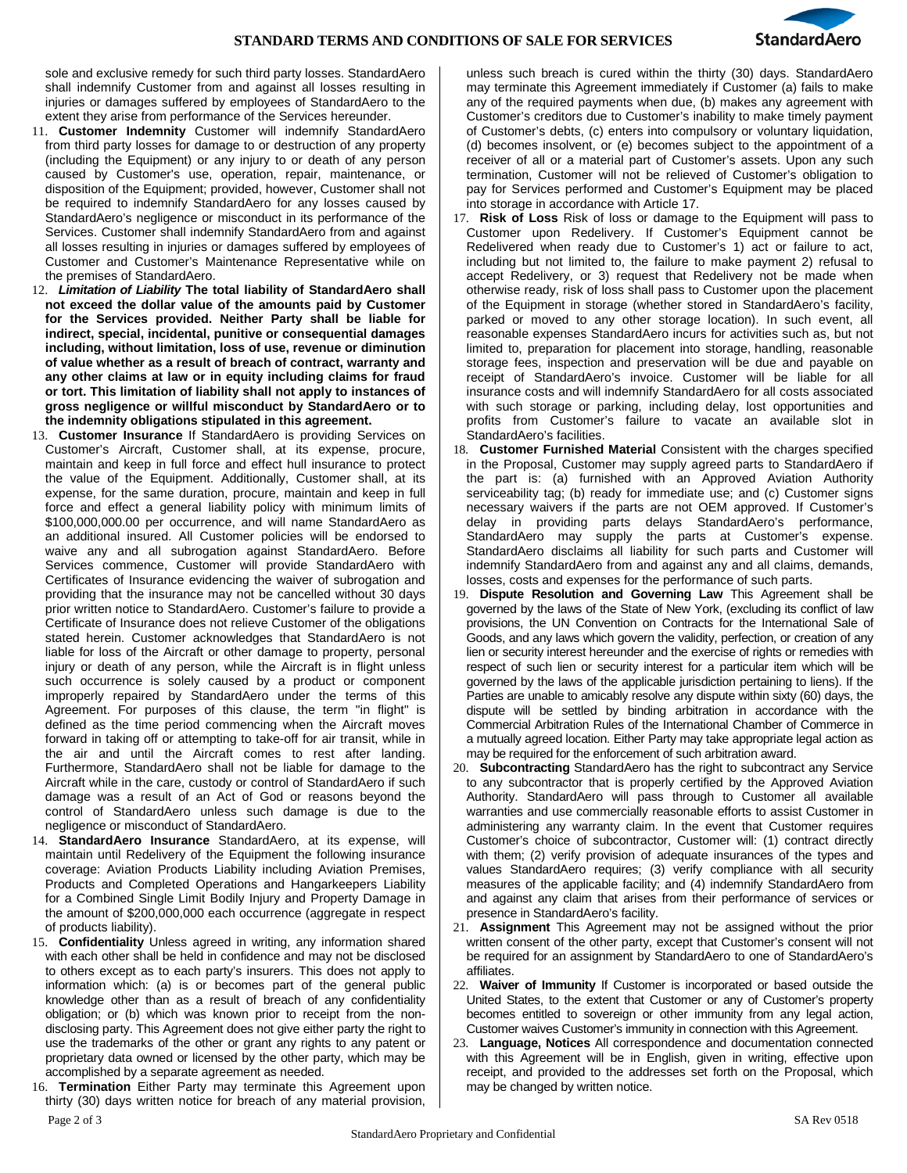

sole and exclusive remedy for such third party losses. StandardAero shall indemnify Customer from and against all losses resulting in injuries or damages suffered by employees of StandardAero to the extent they arise from performance of the Services hereunder.

- 11. **Customer Indemnity** Customer will indemnify StandardAero from third party losses for damage to or destruction of any property (including the Equipment) or any injury to or death of any person caused by Customer's use, operation, repair, maintenance, or disposition of the Equipment; provided, however, Customer shall not be required to indemnify StandardAero for any losses caused by StandardAero's negligence or misconduct in its performance of the Services. Customer shall indemnify StandardAero from and against all losses resulting in injuries or damages suffered by employees of Customer and Customer's Maintenance Representative while on the premises of StandardAero.
- 12. *Limitation of Liability* **The total liability of StandardAero shall not exceed the dollar value of the amounts paid by Customer for the Services provided. Neither Party shall be liable for indirect, special, incidental, punitive or consequential damages including, without limitation, loss of use, revenue or diminution of value whether as a result of breach of contract, warranty and any other claims at law or in equity including claims for fraud or tort. This limitation of liability shall not apply to instances of gross negligence or willful misconduct by StandardAero or to the indemnity obligations stipulated in this agreement.**
- 13. **Customer Insurance** If StandardAero is providing Services on Customer's Aircraft, Customer shall, at its expense, procure, maintain and keep in full force and effect hull insurance to protect the value of the Equipment. Additionally, Customer shall, at its expense, for the same duration, procure, maintain and keep in full force and effect a general liability policy with minimum limits of \$100,000,000.00 per occurrence, and will name StandardAero as an additional insured. All Customer policies will be endorsed to waive any and all subrogation against StandardAero. Before Services commence, Customer will provide StandardAero with Certificates of Insurance evidencing the waiver of subrogation and providing that the insurance may not be cancelled without 30 days prior written notice to StandardAero. Customer's failure to provide a Certificate of Insurance does not relieve Customer of the obligations stated herein. Customer acknowledges that StandardAero is not liable for loss of the Aircraft or other damage to property, personal injury or death of any person, while the Aircraft is in flight unless such occurrence is solely caused by a product or component improperly repaired by StandardAero under the terms of this Agreement. For purposes of this clause, the term "in flight" is defined as the time period commencing when the Aircraft moves forward in taking off or attempting to take-off for air transit, while in the air and until the Aircraft comes to rest after landing. Furthermore, StandardAero shall not be liable for damage to the Aircraft while in the care, custody or control of StandardAero if such damage was a result of an Act of God or reasons beyond the control of StandardAero unless such damage is due to the negligence or misconduct of StandardAero.
- 14. **StandardAero Insurance** StandardAero, at its expense, will maintain until Redelivery of the Equipment the following insurance coverage: Aviation Products Liability including Aviation Premises, Products and Completed Operations and Hangarkeepers Liability for a Combined Single Limit Bodily Injury and Property Damage in the amount of \$200,000,000 each occurrence (aggregate in respect of products liability).
- 15. **Confidentiality** Unless agreed in writing, any information shared with each other shall be held in confidence and may not be disclosed to others except as to each party's insurers. This does not apply to information which: (a) is or becomes part of the general public knowledge other than as a result of breach of any confidentiality obligation; or (b) which was known prior to receipt from the nondisclosing party. This Agreement does not give either party the right to use the trademarks of the other or grant any rights to any patent or proprietary data owned or licensed by the other party, which may be accomplished by a separate agreement as needed.
- 16. **Termination** Either Party may terminate this Agreement upon thirty (30) days written notice for breach of any material provision,

unless such breach is cured within the thirty (30) days. StandardAero may terminate this Agreement immediately if Customer (a) fails to make any of the required payments when due, (b) makes any agreement with Customer's creditors due to Customer's inability to make timely payment of Customer's debts, (c) enters into compulsory or voluntary liquidation, (d) becomes insolvent, or (e) becomes subject to the appointment of a receiver of all or a material part of Customer's assets. Upon any such termination, Customer will not be relieved of Customer's obligation to pay for Services performed and Customer's Equipment may be placed into storage in accordance with Article 17.

- 17. **Risk of Loss** Risk of loss or damage to the Equipment will pass to Customer upon Redelivery. If Customer's Equipment cannot be Redelivered when ready due to Customer's 1) act or failure to act, including but not limited to, the failure to make payment 2) refusal to accept Redelivery, or 3) request that Redelivery not be made when otherwise ready, risk of loss shall pass to Customer upon the placement of the Equipment in storage (whether stored in StandardAero's facility, parked or moved to any other storage location). In such event, all reasonable expenses StandardAero incurs for activities such as, but not limited to, preparation for placement into storage, handling, reasonable storage fees, inspection and preservation will be due and payable on receipt of StandardAero's invoice. Customer will be liable for all insurance costs and will indemnify StandardAero for all costs associated with such storage or parking, including delay, lost opportunities and profits from Customer's failure to vacate an available slot in StandardAero's facilities.
- 18. **Customer Furnished Material** Consistent with the charges specified in the Proposal, Customer may supply agreed parts to StandardAero if the part is: (a) furnished with an Approved Aviation Authority serviceability tag; (b) ready for immediate use; and (c) Customer signs necessary waivers if the parts are not OEM approved. If Customer's delay in providing parts delays StandardAero's performance, StandardAero may supply the parts at Customer's expense. StandardAero disclaims all liability for such parts and Customer will indemnify StandardAero from and against any and all claims, demands, losses, costs and expenses for the performance of such parts.
- 19. **Dispute Resolution and Governing Law** This Agreement shall be governed by the laws of the State of New York, (excluding its conflict of law provisions, the UN Convention on Contracts for the International Sale of Goods, and any laws which govern the validity, perfection, or creation of any lien or security interest hereunder and the exercise of rights or remedies with respect of such lien or security interest for a particular item which will be governed by the laws of the applicable jurisdiction pertaining to liens). If the Parties are unable to amicably resolve any dispute within sixty (60) days, the dispute will be settled by binding arbitration in accordance with the Commercial Arbitration Rules of the International Chamber of Commerce in a mutually agreed location. Either Party may take appropriate legal action as may be required for the enforcement of such arbitration award.
- 20. **Subcontracting** StandardAero has the right to subcontract any Service to any subcontractor that is properly certified by the Approved Aviation Authority. StandardAero will pass through to Customer all available warranties and use commercially reasonable efforts to assist Customer in administering any warranty claim. In the event that Customer requires Customer's choice of subcontractor, Customer will: (1) contract directly with them; (2) verify provision of adequate insurances of the types and values StandardAero requires; (3) verify compliance with all security measures of the applicable facility; and (4) indemnify StandardAero from and against any claim that arises from their performance of services or presence in StandardAero's facility.
- 21. **Assignment** This Agreement may not be assigned without the prior written consent of the other party, except that Customer's consent will not be required for an assignment by StandardAero to one of StandardAero's affiliates.
- 22. **Waiver of Immunity** If Customer is incorporated or based outside the United States, to the extent that Customer or any of Customer's property becomes entitled to sovereign or other immunity from any legal action, Customer waives Customer's immunity in connection with this Agreement.
- 23. **Language, Notices** All correspondence and documentation connected with this Agreement will be in English, given in writing, effective upon receipt, and provided to the addresses set forth on the Proposal, which may be changed by written notice.